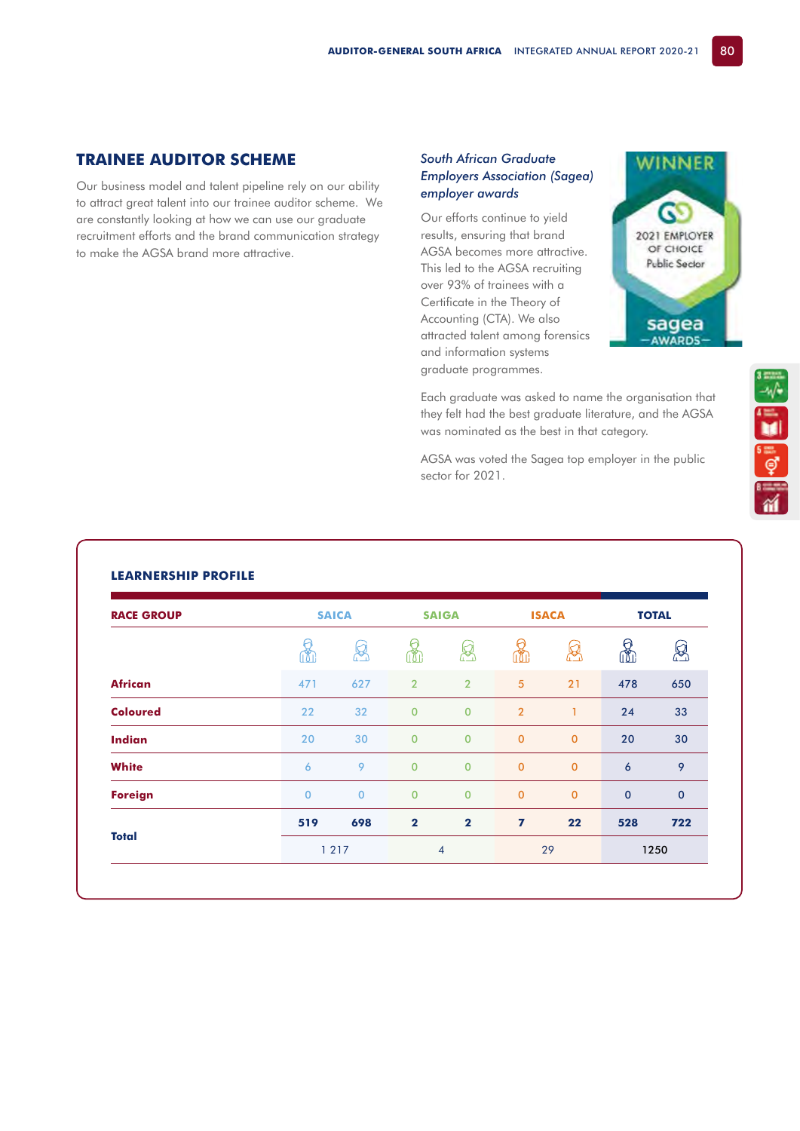## **TRAINEE AUDITOR SCHEME**

Our business model and talent pipeline rely on our ability to attract great talent into our trainee auditor scheme. We are constantly looking at how we can use our graduate recruitment efforts and the brand communication strategy to make the AGSA brand more attractive.

## *South African Graduate Employers Association (Sagea) employer awards*

Our efforts continue to yield results, ensuring that brand AGSA becomes more attractive. This led to the AGSA recruiting over 93% of trainees with a Certificate in the Theory of Accounting (CTA). We also attracted talent among forensics and information systems graduate programmes.



**SEPTED** 

Each graduate was asked to name the organisation that they felt had the best graduate literature, and the AGSA was nominated as the best in that category.

AGSA was voted the Sagea top employer in the public sector for 2021.

## **LEARNERSHIP PROFILE**

| <b>RACE GROUP</b> | <b>SAICA</b>   |          | <b>SAIGA</b>   |                | <b>ISACA</b>   |                | <b>TOTAL</b>        |             |
|-------------------|----------------|----------|----------------|----------------|----------------|----------------|---------------------|-------------|
|                   | ſħ             | 년        | rħ             | أيجيرا         | ĩÑ             | ð              | ↔<br>íħ             | 얺           |
| <b>African</b>    | 471            | 627      | $\overline{2}$ | $\overline{2}$ | 5              | 21             | 478                 | 650         |
| <b>Coloured</b>   | 22             | 32       | $\mathbf 0$    | $\overline{0}$ | $\overline{2}$ | 1              | 24                  | 33          |
| <b>Indian</b>     | 20             | 30       | $\mathbf 0$    | $\overline{0}$ | $\mathbf 0$    | $\overline{0}$ | 20                  | 30          |
| <b>White</b>      | 6              | 9        | $\mathbf 0$    | $\overline{0}$ | $\mathbf 0$    | $\mathbf{0}$   | $\ddot{\mathbf{6}}$ | 9           |
| <b>Foreign</b>    | $\overline{0}$ | $\Omega$ | $\overline{0}$ | $\mathbf{0}$   | $\mathbf 0$    | $\mathbf 0$    | $\mathbf 0$         | $\mathbf 0$ |
|                   | 519            | 698      | $\overline{2}$ | $\overline{2}$ | 7              | 22             | 528                 | 722         |
| <b>Total</b>      | 1 2 1 7        |          | $\overline{4}$ |                | 29             |                | 1250                |             |